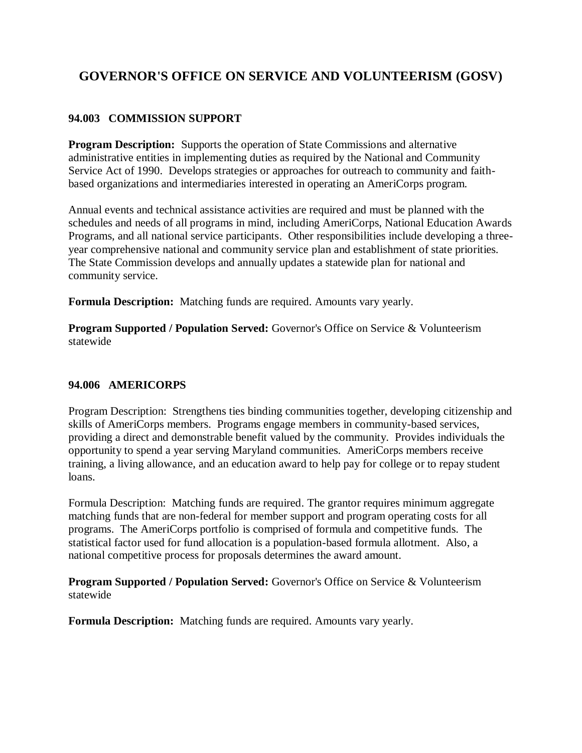# **GOVERNOR'S OFFICE ON SERVICE AND VOLUNTEERISM (GOSV)**

### **94.003 COMMISSION SUPPORT**

**Program Description:** Supports the operation of State Commissions and alternative administrative entities in implementing duties as required by the National and Community Service Act of 1990. Develops strategies or approaches for outreach to community and faithbased organizations and intermediaries interested in operating an AmeriCorps program.

Annual events and technical assistance activities are required and must be planned with the schedules and needs of all programs in mind, including AmeriCorps, National Education Awards Programs, and all national service participants. Other responsibilities include developing a threeyear comprehensive national and community service plan and establishment of state priorities. The State Commission develops and annually updates a statewide plan for national and community service.

**Formula Description:** Matching funds are required. Amounts vary yearly.

**Program Supported / Population Served:** Governor's Office on Service & Volunteerism statewide

#### **94.006 AMERICORPS**

Program Description: Strengthens ties binding communities together, developing citizenship and skills of AmeriCorps members. Programs engage members in community-based services, providing a direct and demonstrable benefit valued by the community. Provides individuals the opportunity to spend a year serving Maryland communities. AmeriCorps members receive training, a living allowance, and an education award to help pay for college or to repay student loans.

Formula Description: Matching funds are required. The grantor requires minimum aggregate matching funds that are non-federal for member support and program operating costs for all programs. The AmeriCorps portfolio is comprised of formula and competitive funds. The statistical factor used for fund allocation is a population-based formula allotment. Also, a national competitive process for proposals determines the award amount.

**Program Supported / Population Served:** Governor's Office on Service & Volunteerism statewide

**Formula Description:** Matching funds are required. Amounts vary yearly.